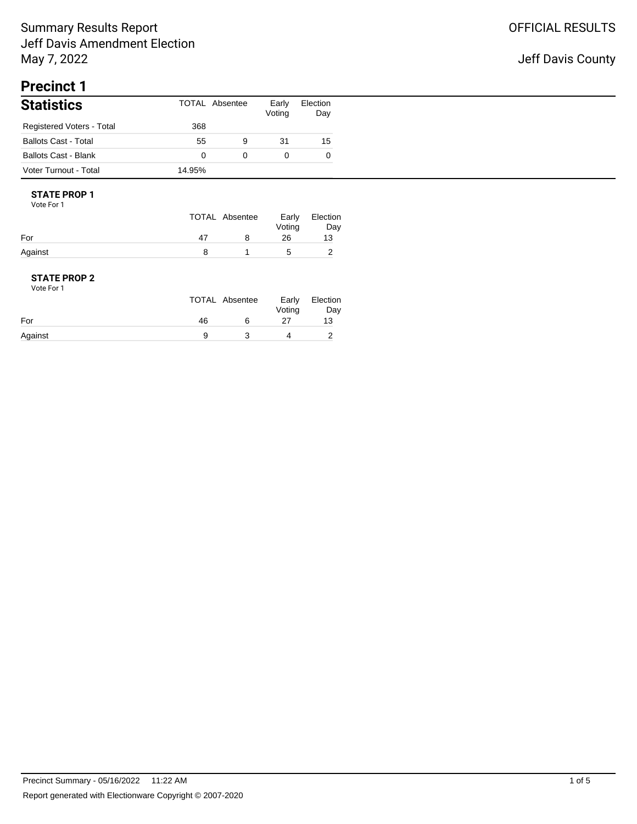## Jeff Davis County

# **Precinct 1**

| <b>Statistics</b>           |        | TOTAL Absentee | Early<br>Voting | Election<br>Day |
|-----------------------------|--------|----------------|-----------------|-----------------|
| Registered Voters - Total   | 368    |                |                 |                 |
| <b>Ballots Cast - Total</b> | 55     | 9              | 31              | 15              |
| Ballots Cast - Blank        | 0      | 0              | 0               | 0               |
| Voter Turnout - Total       | 14.95% |                |                 |                 |

#### **STATE PROP 1** Vote For 1

|         |    | TOTAL Absentee | Early<br>Voting | Election<br>Day |
|---------|----|----------------|-----------------|-----------------|
| For     | 47 |                | 26              | 13              |
| Against |    |                | 5               |                 |

| Vote For 1 |    |                |                 |                 |
|------------|----|----------------|-----------------|-----------------|
|            |    | TOTAL Absentee | Early<br>Voting | Election<br>Day |
| For        | 46 | ิค             | 27              | 13              |
| Against    | a  |                |                 |                 |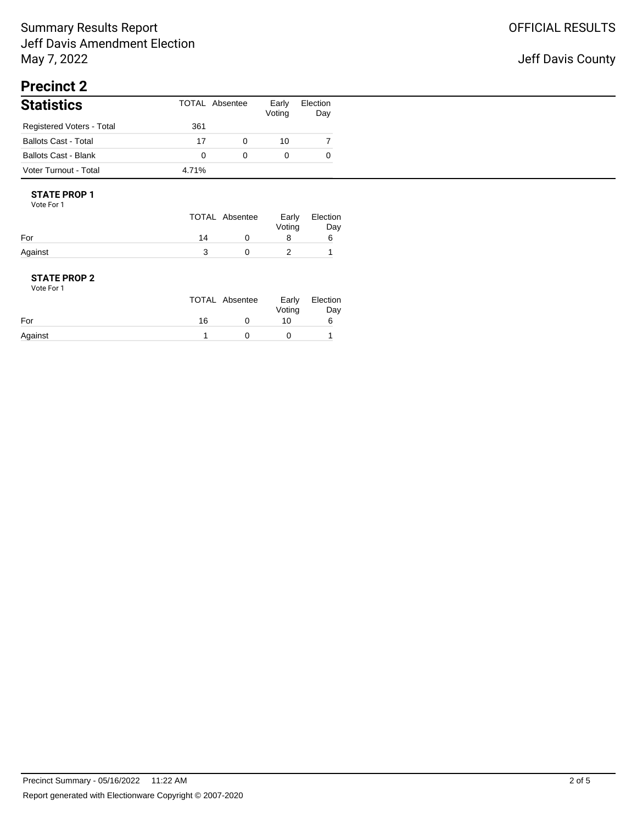## Jeff Davis County

# **Precinct 2**

| <b>Statistics</b>           |       | TOTAL Absentee | Early<br>Voting | Election<br>Day |
|-----------------------------|-------|----------------|-----------------|-----------------|
| Registered Voters - Total   | 361   |                |                 |                 |
| <b>Ballots Cast - Total</b> | 17    | 0              | 10              |                 |
| Ballots Cast - Blank        |       |                | 0               |                 |
| Voter Turnout - Total       | 4.71% |                |                 |                 |

#### **STATE PROP 1** Vote For 1

|         |    | TOTAL Absentee | Early<br>Voting | Election<br>Day |
|---------|----|----------------|-----------------|-----------------|
| For     | 14 |                |                 |                 |
| Against |    |                |                 |                 |

| Vote For 1 |    |                |                 |                 |
|------------|----|----------------|-----------------|-----------------|
|            |    | TOTAL Absentee | Early<br>Voting | Election<br>Day |
| For        | 16 |                | 10              | 6               |
| Against    |    |                |                 |                 |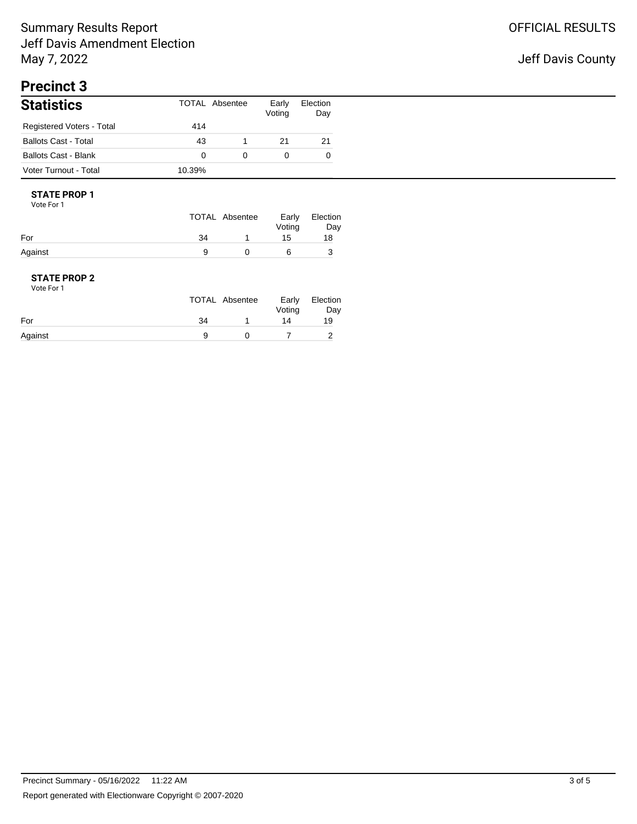## Jeff Davis County

# **Precinct 3**

| <b>Statistics</b>           |        | TOTAL Absentee | Early<br>Voting | Election<br>Day |
|-----------------------------|--------|----------------|-----------------|-----------------|
| Registered Voters - Total   | 414    |                |                 |                 |
| <b>Ballots Cast - Total</b> | 43     |                | 21              | 21              |
| <b>Ballots Cast - Blank</b> | 0      | 0              |                 | 0               |
| Voter Turnout - Total       | 10.39% |                |                 |                 |

#### **STATE PROP 1** Vote For 1

|         |    | TOTAL Absentee | Early<br>Voting | Election<br>Day |
|---------|----|----------------|-----------------|-----------------|
| For     | 34 |                | 15              | 18              |
| Against |    |                | а               |                 |

| Vote For 1 |    |                |                 |                 |
|------------|----|----------------|-----------------|-----------------|
|            |    | TOTAL Absentee | Early<br>Voting | Election<br>Day |
| For        | 34 |                | 14              | 19              |
| Against    |    |                |                 |                 |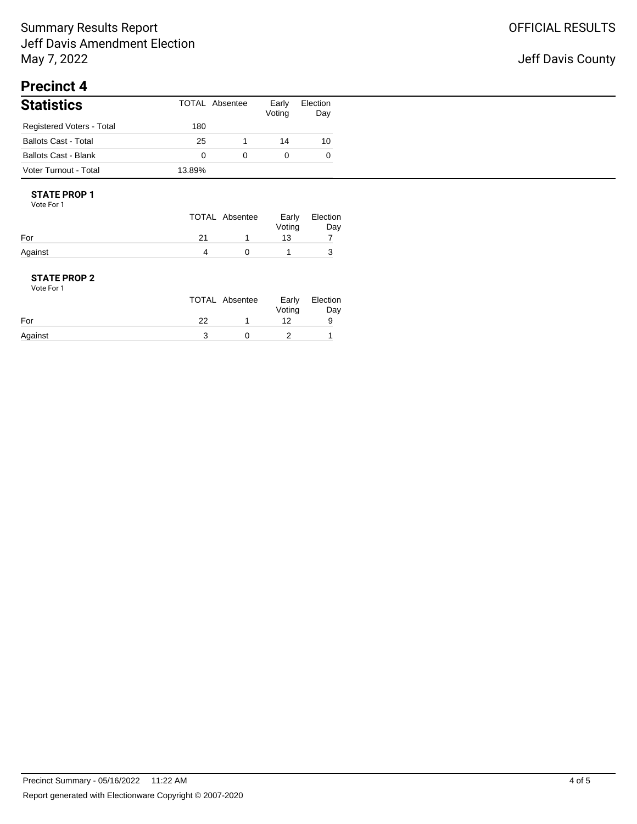## Jeff Davis County

# **Precinct 4**

| <b>Statistics</b>           |        | TOTAL Absentee | Early<br>Voting | Election<br>Day |
|-----------------------------|--------|----------------|-----------------|-----------------|
| Registered Voters - Total   | 180    |                |                 |                 |
| <b>Ballots Cast - Total</b> | 25     |                | 14              | 10              |
| Ballots Cast - Blank        |        | 0              |                 | 0               |
| Voter Turnout - Total       | 13.89% |                |                 |                 |

#### **STATE PROP 1** Vote For 1

|         | TOTAL Absentee | Voting | Early Election<br>Day |
|---------|----------------|--------|-----------------------|
| For     |                | 13     |                       |
| Against |                |        |                       |

| Vote For 1 |    |                |                 |                 |
|------------|----|----------------|-----------------|-----------------|
|            |    | TOTAL Absentee | Early<br>Voting | Election<br>Day |
| For        | 22 |                | 12              | 9               |
| Against    |    |                |                 |                 |